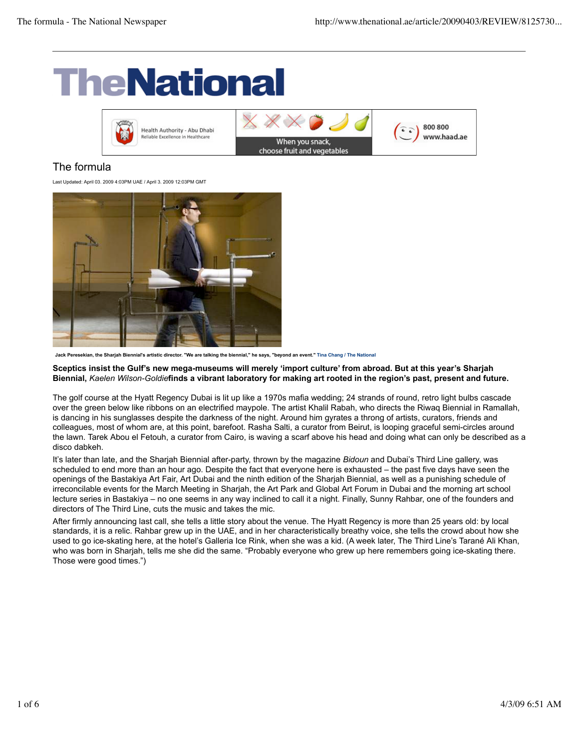# **TheNational**



# The formula

Last Updated: April 03. 2009 4:03PM UAE / April 3. 2009 12:03PM GMT



**Jack Peresekian, the Sharjah Biennial's artistic director. "We are talking the biennial," he says, "beyond an event." Tina Chang / The National**

**Sceptics insist the Gulf's new mega-museums will merely 'import culture' from abroad. But at this year's Sharjah Biennial,** *Kaelen Wilson-Goldie***finds a vibrant laboratory for making art rooted in the region's past, present and future.**

The golf course at the Hyatt Regency Dubai is lit up like a 1970s mafia wedding; 24 strands of round, retro light bulbs cascade over the green below like ribbons on an electrified maypole. The artist Khalil Rabah, who directs the Riwaq Biennial in Ramallah, is dancing in his sunglasses despite the darkness of the night. Around him gyrates a throng of artists, curators, friends and colleagues, most of whom are, at this point, barefoot. Rasha Salti, a curator from Beirut, is looping graceful semi-circles around the lawn. Tarek Abou el Fetouh, a curator from Cairo, is waving a scarf above his head and doing what can only be described as a disco dabkeh.

It's later than late, and the Sharjah Biennial after-party, thrown by the magazine *Bidoun* and Dubai's Third Line gallery, was scheduled to end more than an hour ago. Despite the fact that everyone here is exhausted – the past five days have seen the openings of the Bastakiya Art Fair, Art Dubai and the ninth edition of the Sharjah Biennial, as well as a punishing schedule of irreconcilable events for the March Meeting in Sharjah, the Art Park and Global Art Forum in Dubai and the morning art school lecture series in Bastakiya – no one seems in any way inclined to call it a night. Finally, Sunny Rahbar, one of the founders and directors of The Third Line, cuts the music and takes the mic.

After firmly announcing last call, she tells a little story about the venue. The Hyatt Regency is more than 25 years old: by local standards, it is a relic. Rahbar grew up in the UAE, and in her characteristically breathy voice, she tells the crowd about how she used to go ice-skating here, at the hotel's Galleria Ice Rink, when she was a kid. (A week later, The Third Line's Tarané Ali Khan, who was born in Sharjah, tells me she did the same. "Probably everyone who grew up here remembers going ice-skating there. Those were good times.")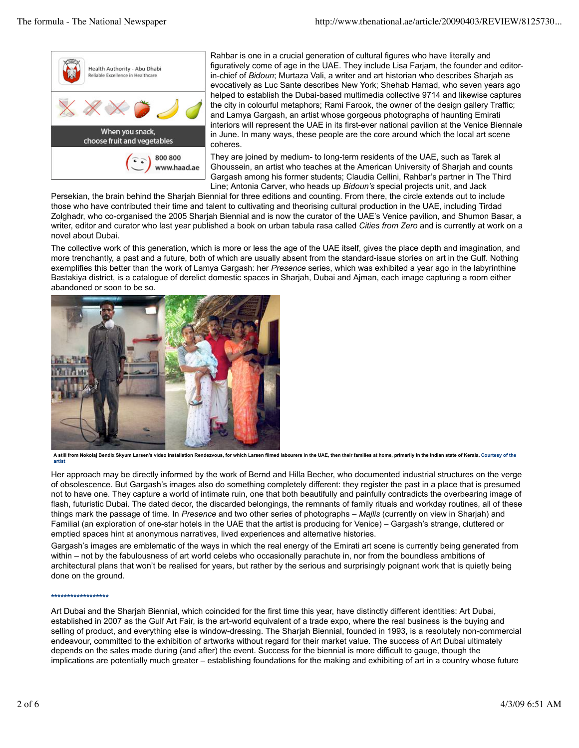

Rahbar is one in a crucial generation of cultural figures who have literally and figuratively come of age in the UAE. They include Lisa Farjam, the founder and editorin-chief of *Bidoun*; Murtaza Vali, a writer and art historian who describes Sharjah as evocatively as Luc Sante describes New York; Shehab Hamad, who seven years ago helped to establish the Dubai-based multimedia collective 9714 and likewise captures the city in colourful metaphors; Rami Farook, the owner of the design gallery Traffic; and Lamya Gargash, an artist whose gorgeous photographs of haunting Emirati interiors will represent the UAE in its first-ever national pavilion at the Venice Biennale in June. In many ways, these people are the core around which the local art scene coheres.

They are joined by medium- to long-term residents of the UAE, such as Tarek al Ghoussein, an artist who teaches at the American University of Sharjah and counts Gargash among his former students; Claudia Cellini, Rahbar's partner in The Third Line; Antonia Carver, who heads up *Bidoun's* special projects unit, and Jack

Persekian, the brain behind the Sharjah Biennial for three editions and counting. From there, the circle extends out to include those who have contributed their time and talent to cultivating and theorising cultural production in the UAE, including Tirdad Zolghadr, who co-organised the 2005 Sharjah Biennial and is now the curator of the UAE's Venice pavilion, and Shumon Basar, a writer, editor and curator who last year published a book on urban tabula rasa called *Cities from Zero* and is currently at work on a novel about Dubai.

The collective work of this generation, which is more or less the age of the UAE itself, gives the place depth and imagination, and more trenchantly, a past and a future, both of which are usually absent from the standard-issue stories on art in the Gulf. Nothing exemplifies this better than the work of Lamya Gargash: her *Presence* series, which was exhibited a year ago in the labyrinthine Bastakiya district, is a catalogue of derelict domestic spaces in Sharjah, Dubai and Ajman, each image capturing a room either abandoned or soon to be so.



A still from Nokolaj Bendix Skyum Larsen's video installation Rendezvous, for which Larsen filmed labourers in the UAE, then their families at home, primarily in the Indian state of Kerala. Courtesy of the **artist**

Her approach may be directly informed by the work of Bernd and Hilla Becher, who documented industrial structures on the verge of obsolescence. But Gargash's images also do something completely different: they register the past in a place that is presumed not to have one. They capture a world of intimate ruin, one that both beautifully and painfully contradicts the overbearing image of flash, futuristic Dubai. The dated decor, the discarded belongings, the remnants of family rituals and workday routines, all of these things mark the passage of time. In *Presence* and two other series of photographs – *Majlis* (currently on view in Sharjah) and Familial (an exploration of one-star hotels in the UAE that the artist is producing for Venice) – Gargash's strange, cluttered or emptied spaces hint at anonymous narratives, lived experiences and alternative histories.

Gargash's images are emblematic of the ways in which the real energy of the Emirati art scene is currently being generated from within – not by the fabulousness of art world celebs who occasionally parachute in, nor from the boundless ambitions of architectural plans that won't be realised for years, but rather by the serious and surprisingly poignant work that is quietly being done on the ground.

#### **\*\*\*\*\*\*\*\*\*\*\*\*\*\*\*\*\*\***

Art Dubai and the Sharjah Biennial, which coincided for the first time this year, have distinctly different identities: Art Dubai, established in 2007 as the Gulf Art Fair, is the art-world equivalent of a trade expo, where the real business is the buying and selling of product, and everything else is window-dressing. The Shariah Biennial, founded in 1993, is a resolutely non-commercial endeavour, committed to the exhibition of artworks without regard for their market value. The success of Art Dubai ultimately depends on the sales made during (and after) the event. Success for the biennial is more difficult to gauge, though the implications are potentially much greater – establishing foundations for the making and exhibiting of art in a country whose future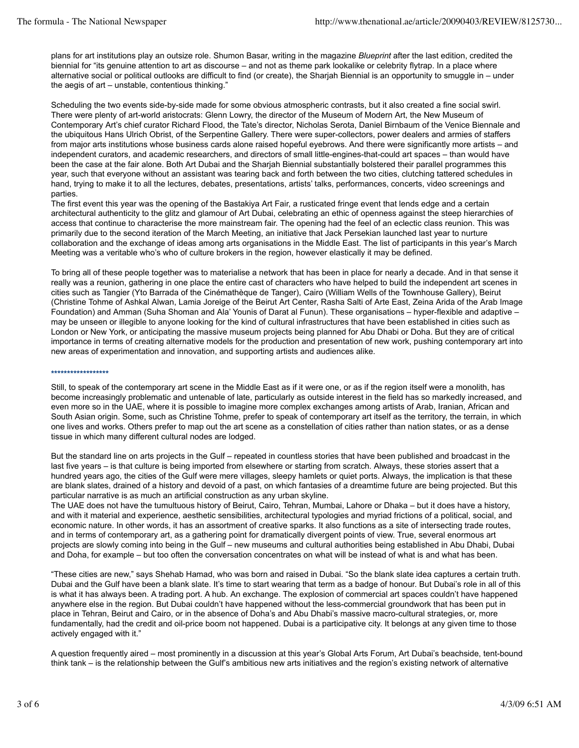plans for art institutions play an outsize role. Shumon Basar, writing in the magazine *Blueprint* after the last edition, credited the biennial for "its genuine attention to art as discourse – and not as theme park lookalike or celebrity flytrap. In a place where alternative social or political outlooks are difficult to find (or create), the Sharjah Biennial is an opportunity to smuggle in – under the aegis of art – unstable, contentious thinking."

Scheduling the two events side-by-side made for some obvious atmospheric contrasts, but it also created a fine social swirl. There were plenty of art-world aristocrats: Glenn Lowry, the director of the Museum of Modern Art, the New Museum of Contemporary Art's chief curator Richard Flood, the Tate's director, Nicholas Serota, Daniel Birnbaum of the Venice Biennale and the ubiquitous Hans Ulrich Obrist, of the Serpentine Gallery. There were super-collectors, power dealers and armies of staffers from major arts institutions whose business cards alone raised hopeful eyebrows. And there were significantly more artists – and independent curators, and academic researchers, and directors of small little-engines-that-could art spaces – than would have been the case at the fair alone. Both Art Dubai and the Sharjah Biennial substantially bolstered their parallel programmes this year, such that everyone without an assistant was tearing back and forth between the two cities, clutching tattered schedules in hand, trying to make it to all the lectures, debates, presentations, artists' talks, performances, concerts, video screenings and parties.

The first event this year was the opening of the Bastakiya Art Fair, a rusticated fringe event that lends edge and a certain architectural authenticity to the glitz and glamour of Art Dubai, celebrating an ethic of openness against the steep hierarchies of access that continue to characterise the more mainstream fair. The opening had the feel of an eclectic class reunion. This was primarily due to the second iteration of the March Meeting, an initiative that Jack Persekian launched last year to nurture collaboration and the exchange of ideas among arts organisations in the Middle East. The list of participants in this year's March Meeting was a veritable who's who of culture brokers in the region, however elastically it may be defined.

To bring all of these people together was to materialise a network that has been in place for nearly a decade. And in that sense it really was a reunion, gathering in one place the entire cast of characters who have helped to build the independent art scenes in cities such as Tangier (Yto Barrada of the Cinémathèque de Tanger), Cairo (William Wells of the Townhouse Gallery), Beirut (Christine Tohme of Ashkal Alwan, Lamia Joreige of the Beirut Art Center, Rasha Salti of Arte East, Zeina Arida of the Arab Image Foundation) and Amman (Suha Shoman and Ala' Younis of Darat al Funun). These organisations – hyper-flexible and adaptive – may be unseen or illegible to anyone looking for the kind of cultural infrastructures that have been established in cities such as London or New York, or anticipating the massive museum projects being planned for Abu Dhabi or Doha. But they are of critical importance in terms of creating alternative models for the production and presentation of new work, pushing contemporary art into new areas of experimentation and innovation, and supporting artists and audiences alike.

## **\*\*\*\*\*\*\*\*\*\*\*\*\*\*\*\*\*\***

Still, to speak of the contemporary art scene in the Middle East as if it were one, or as if the region itself were a monolith, has become increasingly problematic and untenable of late, particularly as outside interest in the field has so markedly increased, and even more so in the UAE, where it is possible to imagine more complex exchanges among artists of Arab, Iranian, African and South Asian origin. Some, such as Christine Tohme, prefer to speak of contemporary art itself as the territory, the terrain, in which one lives and works. Others prefer to map out the art scene as a constellation of cities rather than nation states, or as a dense tissue in which many different cultural nodes are lodged.

But the standard line on arts projects in the Gulf – repeated in countless stories that have been published and broadcast in the last five years – is that culture is being imported from elsewhere or starting from scratch. Always, these stories assert that a hundred years ago, the cities of the Gulf were mere villages, sleepy hamlets or quiet ports. Always, the implication is that these are blank slates, drained of a history and devoid of a past, on which fantasies of a dreamtime future are being projected. But this particular narrative is as much an artificial construction as any urban skyline.

The UAE does not have the tumultuous history of Beirut, Cairo, Tehran, Mumbai, Lahore or Dhaka – but it does have a history, and with it material and experience, aesthetic sensibilities, architectural typologies and myriad frictions of a political, social, and economic nature. In other words, it has an assortment of creative sparks. It also functions as a site of intersecting trade routes, and in terms of contemporary art, as a gathering point for dramatically divergent points of view. True, several enormous art projects are slowly coming into being in the Gulf – new museums and cultural authorities being established in Abu Dhabi, Dubai and Doha, for example – but too often the conversation concentrates on what will be instead of what is and what has been.

"These cities are new," says Shehab Hamad, who was born and raised in Dubai. "So the blank slate idea captures a certain truth. Dubai and the Gulf have been a blank slate. It's time to start wearing that term as a badge of honour. But Dubai's role in all of this is what it has always been. A trading port. A hub. An exchange. The explosion of commercial art spaces couldn't have happened anywhere else in the region. But Dubai couldn't have happened without the less-commercial groundwork that has been put in place in Tehran, Beirut and Cairo, or in the absence of Doha's and Abu Dhabi's massive macro-cultural strategies, or, more fundamentally, had the credit and oil-price boom not happened. Dubai is a participative city. It belongs at any given time to those actively engaged with it."

A question frequently aired – most prominently in a discussion at this year's Global Arts Forum, Art Dubai's beachside, tent-bound think tank – is the relationship between the Gulf's ambitious new arts initiatives and the region's existing network of alternative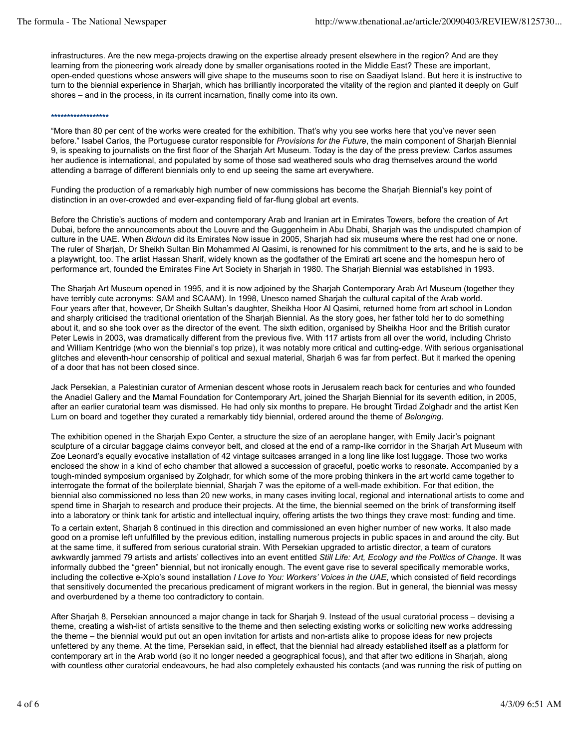infrastructures. Are the new mega-projects drawing on the expertise already present elsewhere in the region? And are they learning from the pioneering work already done by smaller organisations rooted in the Middle East? These are important, open-ended questions whose answers will give shape to the museums soon to rise on Saadiyat Island. But here it is instructive to turn to the biennial experience in Sharjah, which has brilliantly incorporated the vitality of the region and planted it deeply on Gulf shores – and in the process, in its current incarnation, finally come into its own.

## **\*\*\*\*\*\*\*\*\*\*\*\*\*\*\*\*\*\***

"More than 80 per cent of the works were created for the exhibition. That's why you see works here that you've never seen before." Isabel Carlos, the Portuguese curator responsible for *Provisions for the Future*, the main component of Sharjah Biennial 9, is speaking to journalists on the first floor of the Sharjah Art Museum. Today is the day of the press preview. Carlos assumes her audience is international, and populated by some of those sad weathered souls who drag themselves around the world attending a barrage of different biennials only to end up seeing the same art everywhere.

Funding the production of a remarkably high number of new commissions has become the Sharjah Biennial's key point of distinction in an over-crowded and ever-expanding field of far-flung global art events.

Before the Christie's auctions of modern and contemporary Arab and Iranian art in Emirates Towers, before the creation of Art Dubai, before the announcements about the Louvre and the Guggenheim in Abu Dhabi, Sharjah was the undisputed champion of culture in the UAE. When *Bidoun* did its Emirates Now issue in 2005, Sharjah had six museums where the rest had one or none. The ruler of Sharjah, Dr Sheikh Sultan Bin Mohammed Al Qasimi, is renowned for his commitment to the arts, and he is said to be a playwright, too. The artist Hassan Sharif, widely known as the godfather of the Emirati art scene and the homespun hero of performance art, founded the Emirates Fine Art Society in Sharjah in 1980. The Sharjah Biennial was established in 1993.

The Sharjah Art Museum opened in 1995, and it is now adjoined by the Sharjah Contemporary Arab Art Museum (together they have terribly cute acronyms: SAM and SCAAM). In 1998, Unesco named Sharjah the cultural capital of the Arab world. Four years after that, however, Dr Sheikh Sultan's daughter, Sheikha Hoor Al Qasimi, returned home from art school in London and sharply criticised the traditional orientation of the Sharjah Biennial. As the story goes, her father told her to do something about it, and so she took over as the director of the event. The sixth edition, organised by Sheikha Hoor and the British curator Peter Lewis in 2003, was dramatically different from the previous five. With 117 artists from all over the world, including Christo and William Kentridge (who won the biennial's top prize), it was notably more critical and cutting-edge. With serious organisational glitches and eleventh-hour censorship of political and sexual material, Sharjah 6 was far from perfect. But it marked the opening of a door that has not been closed since.

Jack Persekian, a Palestinian curator of Armenian descent whose roots in Jerusalem reach back for centuries and who founded the Anadiel Gallery and the Mamal Foundation for Contemporary Art, joined the Sharjah Biennial for its seventh edition, in 2005, after an earlier curatorial team was dismissed. He had only six months to prepare. He brought Tirdad Zolghadr and the artist Ken Lum on board and together they curated a remarkably tidy biennial, ordered around the theme of *Belonging*.

The exhibition opened in the Sharjah Expo Center, a structure the size of an aeroplane hanger, with Emily Jacir's poignant sculpture of a circular baggage claims conveyor belt, and closed at the end of a ramp-like corridor in the Sharjah Art Museum with Zoe Leonard's equally evocative installation of 42 vintage suitcases arranged in a long line like lost luggage. Those two works enclosed the show in a kind of echo chamber that allowed a succession of graceful, poetic works to resonate. Accompanied by a tough-minded symposium organised by Zolghadr, for which some of the more probing thinkers in the art world came together to interrogate the format of the boilerplate biennial, Sharjah 7 was the epitome of a well-made exhibition. For that edition, the biennial also commissioned no less than 20 new works, in many cases inviting local, regional and international artists to come and spend time in Sharjah to research and produce their projects. At the time, the biennial seemed on the brink of transforming itself into a laboratory or think tank for artistic and intellectual inquiry, offering artists the two things they crave most: funding and time. To a certain extent, Sharjah 8 continued in this direction and commissioned an even higher number of new works. It also made good on a promise left unfulfilled by the previous edition, installing numerous projects in public spaces in and around the city. But at the same time, it suffered from serious curatorial strain. With Persekian upgraded to artistic director, a team of curators awkwardly jammed 79 artists and artists' collectives into an event entitled *Still Life: Art, Ecology and the Politics of Change*. It was informally dubbed the "green" biennial, but not ironically enough. The event gave rise to several specifically memorable works, including the collective e-Xplo's sound installation *I Love to You: Workers' Voices in the UAE*, which consisted of field recordings that sensitively documented the precarious predicament of migrant workers in the region. But in general, the biennial was messy and overburdened by a theme too contradictory to contain.

After Sharjah 8, Persekian announced a major change in tack for Sharjah 9. Instead of the usual curatorial process – devising a theme, creating a wish-list of artists sensitive to the theme and then selecting existing works or soliciting new works addressing the theme – the biennial would put out an open invitation for artists and non-artists alike to propose ideas for new projects unfettered by any theme. At the time, Persekian said, in effect, that the biennial had already established itself as a platform for contemporary art in the Arab world (so it no longer needed a geographical focus), and that after two editions in Sharjah, along with countless other curatorial endeavours, he had also completely exhausted his contacts (and was running the risk of putting on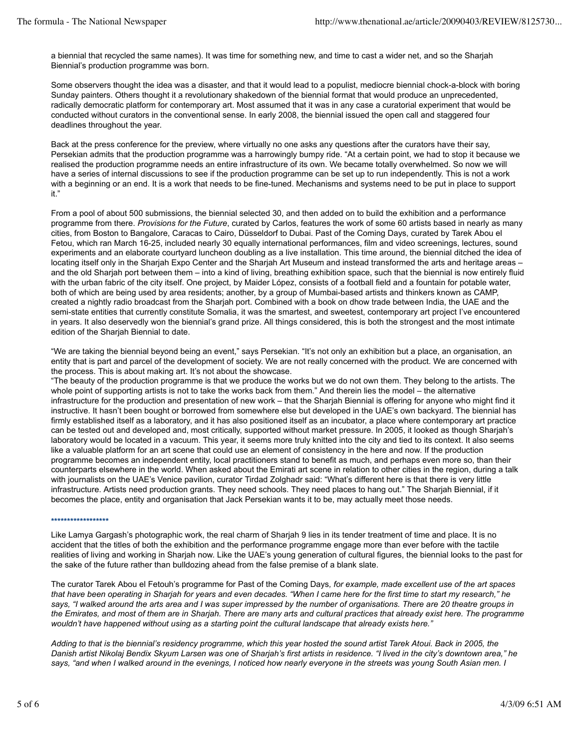a biennial that recycled the same names). It was time for something new, and time to cast a wider net, and so the Sharjah Biennial's production programme was born.

Some observers thought the idea was a disaster, and that it would lead to a populist, mediocre biennial chock-a-block with boring Sunday painters. Others thought it a revolutionary shakedown of the biennial format that would produce an unprecedented, radically democratic platform for contemporary art. Most assumed that it was in any case a curatorial experiment that would be conducted without curators in the conventional sense. In early 2008, the biennial issued the open call and staggered four deadlines throughout the year.

Back at the press conference for the preview, where virtually no one asks any questions after the curators have their say, Persekian admits that the production programme was a harrowingly bumpy ride. "At a certain point, we had to stop it because we realised the production programme needs an entire infrastructure of its own. We became totally overwhelmed. So now we will have a series of internal discussions to see if the production programme can be set up to run independently. This is not a work with a beginning or an end. It is a work that needs to be fine-tuned. Mechanisms and systems need to be put in place to support it."

From a pool of about 500 submissions, the biennial selected 30, and then added on to build the exhibition and a performance programme from there. *Provisions for the Future*, curated by Carlos, features the work of some 60 artists based in nearly as many cities, from Boston to Bangalore, Caracas to Cairo, Düsseldorf to Dubai. Past of the Coming Days, curated by Tarek Abou el Fetou, which ran March 16-25, included nearly 30 equally international performances, film and video screenings, lectures, sound experiments and an elaborate courtyard luncheon doubling as a live installation. This time around, the biennial ditched the idea of locating itself only in the Sharjah Expo Center and the Sharjah Art Museum and instead transformed the arts and heritage areas – and the old Sharjah port between them – into a kind of living, breathing exhibition space, such that the biennial is now entirely fluid with the urban fabric of the city itself. One project, by Maider López, consists of a football field and a fountain for potable water, both of which are being used by area residents; another, by a group of Mumbai-based artists and thinkers known as CAMP, created a nightly radio broadcast from the Sharjah port. Combined with a book on dhow trade between India, the UAE and the semi-state entities that currently constitute Somalia, it was the smartest, and sweetest, contemporary art project I've encountered in years. It also deservedly won the biennial's grand prize. All things considered, this is both the strongest and the most intimate edition of the Sharjah Biennial to date.

"We are taking the biennial beyond being an event," says Persekian. "It's not only an exhibition but a place, an organisation, an entity that is part and parcel of the development of society. We are not really concerned with the product. We are concerned with the process. This is about making art. It's not about the showcase.

"The beauty of the production programme is that we produce the works but we do not own them. They belong to the artists. The whole point of supporting artists is not to take the works back from them." And therein lies the model – the alternative infrastructure for the production and presentation of new work – that the Sharjah Biennial is offering for anyone who might find it instructive. It hasn't been bought or borrowed from somewhere else but developed in the UAE's own backyard. The biennial has firmly established itself as a laboratory, and it has also positioned itself as an incubator, a place where contemporary art practice can be tested out and developed and, most critically, supported without market pressure. In 2005, it looked as though Sharjah's laboratory would be located in a vacuum. This year, it seems more truly knitted into the city and tied to its context. It also seems like a valuable platform for an art scene that could use an element of consistency in the here and now. If the production programme becomes an independent entity, local practitioners stand to benefit as much, and perhaps even more so, than their counterparts elsewhere in the world. When asked about the Emirati art scene in relation to other cities in the region, during a talk with journalists on the UAE's Venice pavilion, curator Tirdad Zolghadr said: "What's different here is that there is very little infrastructure. Artists need production grants. They need schools. They need places to hang out." The Sharjah Biennial, if it becomes the place, entity and organisation that Jack Persekian wants it to be, may actually meet those needs.

#### **\*\*\*\*\*\*\*\*\*\*\*\*\*\*\*\*\*\***

Like Lamya Gargash's photographic work, the real charm of Sharjah 9 lies in its tender treatment of time and place. It is no accident that the titles of both the exhibition and the performance programme engage more than ever before with the tactile realities of living and working in Sharjah now. Like the UAE's young generation of cultural figures, the biennial looks to the past for the sake of the future rather than bulldozing ahead from the false premise of a blank slate.

The curator Tarek Abou el Fetouh's programme for Past of the Coming Days*, for example, made excellent use of the art spaces that have been operating in Sharjah for years and even decades. "When I came here for the first time to start my research," he says, "I walked around the arts area and I was super impressed by the number of organisations. There are 20 theatre groups in the Emirates, and most of them are in Sharjah. There are many arts and cultural practices that already exist here. The programme wouldn't have happened without using as a starting point the cultural landscape that already exists here."*

*Adding to that is the biennial's residency programme, which this year hosted the sound artist Tarek Atoui. Back in 2005, the Danish artist Nikolaj Bendix Skyum Larsen was one of Sharjah's first artists in residence. "I lived in the city's downtown area," he says, "and when I walked around in the evenings, I noticed how nearly everyone in the streets was young South Asian men. I*